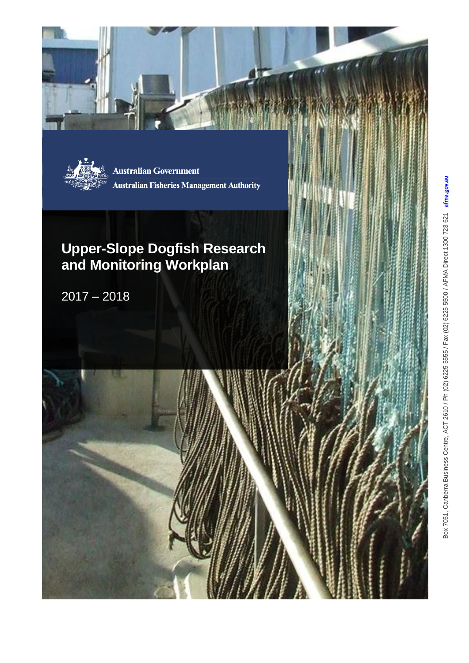

**Australian Government Australian Fisheries Management Authority** 

## **Upper-Slope Dogfish Research and Monitoring Workplan**

2017 – 2018

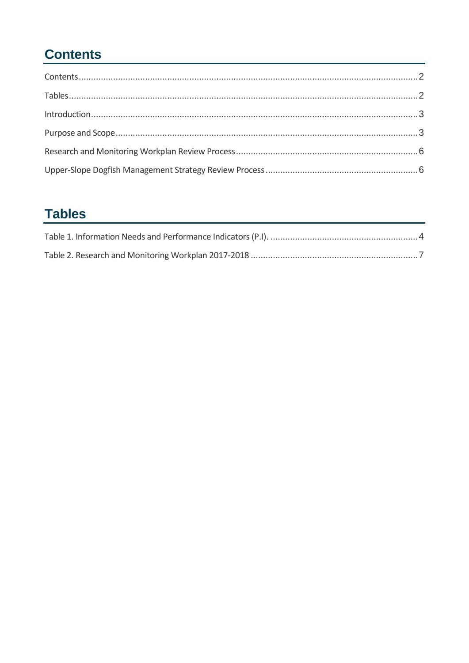# <span id="page-1-0"></span>**Contents**

## <span id="page-1-1"></span>**Tables**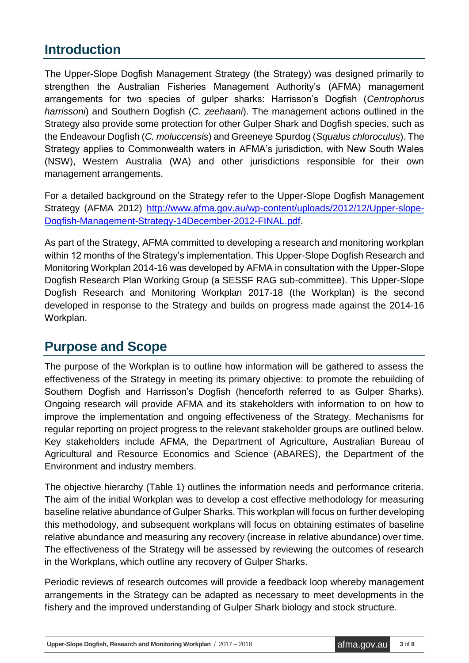### <span id="page-2-0"></span>**Introduction**

The Upper-Slope Dogfish Management Strategy (the Strategy) was designed primarily to strengthen the Australian Fisheries Management Authority's (AFMA) management arrangements for two species of gulper sharks: Harrisson's Dogfish (*Centrophorus harrissoni*) and Southern Dogfish (*C. zeehaani*). The management actions outlined in the Strategy also provide some protection for other Gulper Shark and Dogfish species, such as the Endeavour Dogfish (*C. moluccensis*) and Greeneye Spurdog (*Squalus chloroculus*). The Strategy applies to Commonwealth waters in AFMA's jurisdiction, with New South Wales (NSW), Western Australia (WA) and other jurisdictions responsible for their own management arrangements.

For a detailed background on the Strategy refer to the Upper-Slope Dogfish Management Strategy (AFMA 2012) [http://www.afma.gov.au/wp-content/uploads/2012/12/Upper-slope-](http://www.afma.gov.au/wp-content/uploads/2012/12/Upper-slope-Dogfish-Management-Strategy-14December-2012-FINAL.pdf)[Dogfish-Management-Strategy-14December-2012-FINAL.pdf.](http://www.afma.gov.au/wp-content/uploads/2012/12/Upper-slope-Dogfish-Management-Strategy-14December-2012-FINAL.pdf)

As part of the Strategy, AFMA committed to developing a research and monitoring workplan within 12 months of the Strategy's implementation. This Upper-Slope Dogfish Research and Monitoring Workplan 2014-16 was developed by AFMA in consultation with the Upper-Slope Dogfish Research Plan Working Group (a SESSF RAG sub-committee). This Upper-Slope Dogfish Research and Monitoring Workplan 2017-18 (the Workplan) is the second developed in response to the Strategy and builds on progress made against the 2014-16 Workplan.

#### <span id="page-2-1"></span>**Purpose and Scope**

The purpose of the Workplan is to outline how information will be gathered to assess the effectiveness of the Strategy in meeting its primary objective: to promote the rebuilding of Southern Dogfish and Harrisson's Dogfish (henceforth referred to as Gulper Sharks). Ongoing research will provide AFMA and its stakeholders with information to on how to improve the implementation and ongoing effectiveness of the Strategy. Mechanisms for regular reporting on project progress to the relevant stakeholder groups are outlined below. Key stakeholders include AFMA, the Department of Agriculture, Australian Bureau of Agricultural and Resource Economics and Science (ABARES), the Department of the Environment and industry members.

The objective hierarchy (Table 1) outlines the information needs and performance criteria. The aim of the initial Workplan was to develop a cost effective methodology for measuring baseline relative abundance of Gulper Sharks. This workplan will focus on further developing this methodology, and subsequent workplans will focus on obtaining estimates of baseline relative abundance and measuring any recovery (increase in relative abundance) over time. The effectiveness of the Strategy will be assessed by reviewing the outcomes of research in the Workplans, which outline any recovery of Gulper Sharks.

Periodic reviews of research outcomes will provide a feedback loop whereby management arrangements in the Strategy can be adapted as necessary to meet developments in the fishery and the improved understanding of Gulper Shark biology and stock structure.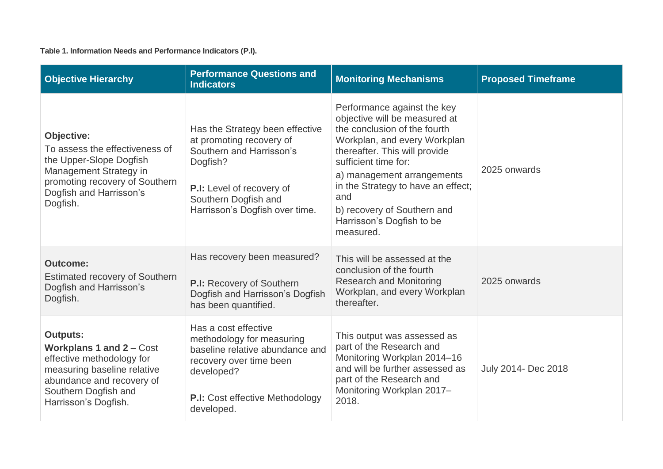**Table 1. Information Needs and Performance Indicators (P.I).** 

<span id="page-3-0"></span>

| <b>Objective Hierarchy</b>                                                                                                                                                                  | <b>Performance Questions and</b><br><b>Indicators</b>                                                                                                                                      | <b>Monitoring Mechanisms</b>                                                                                                                                                                | <b>Proposed Timeframe</b> |  |
|---------------------------------------------------------------------------------------------------------------------------------------------------------------------------------------------|--------------------------------------------------------------------------------------------------------------------------------------------------------------------------------------------|---------------------------------------------------------------------------------------------------------------------------------------------------------------------------------------------|---------------------------|--|
| Objective:<br>To assess the effectiveness of<br>the Upper-Slope Dogfish<br>Management Strategy in<br>promoting recovery of Southern<br>Dogfish and Harrisson's<br>Dogfish.                  | Has the Strategy been effective<br>at promoting recovery of<br>Southern and Harrisson's<br>Dogfish?<br>P.I: Level of recovery of<br>Southern Dogfish and<br>Harrisson's Dogfish over time. |                                                                                                                                                                                             | 2025 onwards              |  |
| <b>Outcome:</b><br><b>Estimated recovery of Southern</b><br>Dogfish and Harrisson's<br>Dogfish.                                                                                             | Has recovery been measured?<br>P.I: Recovery of Southern<br>Dogfish and Harrisson's Dogfish<br>has been quantified.                                                                        | This will be assessed at the<br>conclusion of the fourth<br><b>Research and Monitoring</b><br>Workplan, and every Workplan<br>thereafter.                                                   | 2025 onwards              |  |
| <b>Outputs:</b><br><b>Workplans 1 and 2 - Cost</b><br>effective methodology for<br>measuring baseline relative<br>abundance and recovery of<br>Southern Dogfish and<br>Harrisson's Dogfish. | Has a cost effective<br>methodology for measuring<br>baseline relative abundance and<br>recovery over time been<br>developed?<br><b>P.I:</b> Cost effective Methodology<br>developed.      | This output was assessed as<br>part of the Research and<br>Monitoring Workplan 2014-16<br>and will be further assessed as<br>part of the Research and<br>Monitoring Workplan 2017-<br>2018. | July 2014- Dec 2018       |  |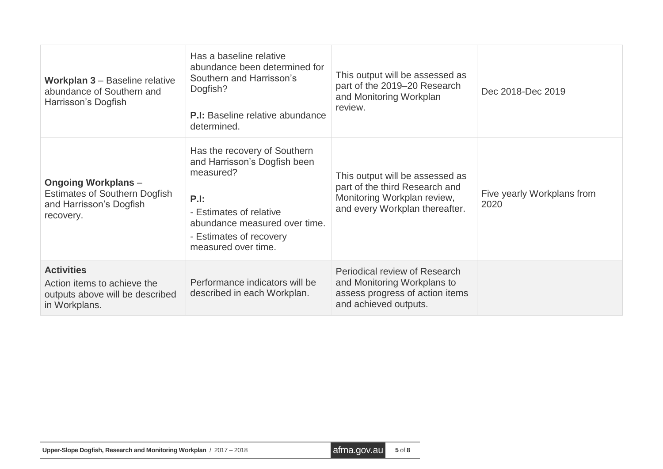| <b>Workplan 3 - Baseline relative</b><br>abundance of Southern and<br>Harrisson's Dogfish                                                                                                                                                                                                                    | Has a baseline relative<br>abundance been determined for<br>Southern and Harrisson's<br>Dogfish?<br><b>P.I:</b> Baseline relative abundance<br>determined. | This output will be assessed as<br>part of the 2019–20 Research<br>and Monitoring Workplan<br>review.                              | Dec 2018-Dec 2019                  |
|--------------------------------------------------------------------------------------------------------------------------------------------------------------------------------------------------------------------------------------------------------------------------------------------------------------|------------------------------------------------------------------------------------------------------------------------------------------------------------|------------------------------------------------------------------------------------------------------------------------------------|------------------------------------|
| Has the recovery of Southern<br>and Harrisson's Dogfish been<br>measured?<br><b>Ongoing Workplans-</b><br><b>Estimates of Southern Dogfish</b><br>P.I:<br>and Harrisson's Dogfish<br>- Estimates of relative<br>recovery.<br>abundance measured over time.<br>- Estimates of recovery<br>measured over time. |                                                                                                                                                            | This output will be assessed as<br>part of the third Research and<br>Monitoring Workplan review,<br>and every Workplan thereafter. | Five yearly Workplans from<br>2020 |
| <b>Activities</b><br>Action items to achieve the<br>outputs above will be described<br>in Workplans.                                                                                                                                                                                                         | Performance indicators will be<br>described in each Workplan.                                                                                              | Periodical review of Research<br>and Monitoring Workplans to<br>assess progress of action items<br>and achieved outputs.           |                                    |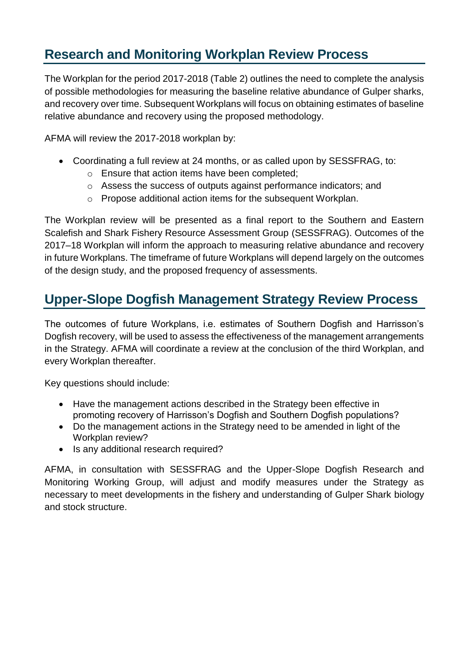## <span id="page-5-0"></span>**Research and Monitoring Workplan Review Process**

The Workplan for the period 2017-2018 (Table 2) outlines the need to complete the analysis of possible methodologies for measuring the baseline relative abundance of Gulper sharks, and recovery over time. Subsequent Workplans will focus on obtaining estimates of baseline relative abundance and recovery using the proposed methodology.

AFMA will review the 2017-2018 workplan by:

- Coordinating a full review at 24 months, or as called upon by SESSFRAG, to:
	- o Ensure that action items have been completed;
	- o Assess the success of outputs against performance indicators; and
	- o Propose additional action items for the subsequent Workplan.

The Workplan review will be presented as a final report to the Southern and Eastern Scalefish and Shark Fishery Resource Assessment Group (SESSFRAG). Outcomes of the 2017–18 Workplan will inform the approach to measuring relative abundance and recovery in future Workplans. The timeframe of future Workplans will depend largely on the outcomes of the design study, and the proposed frequency of assessments.

## <span id="page-5-1"></span>**Upper-Slope Dogfish Management Strategy Review Process**

The outcomes of future Workplans, i.e. estimates of Southern Dogfish and Harrisson's Dogfish recovery, will be used to assess the effectiveness of the management arrangements in the Strategy. AFMA will coordinate a review at the conclusion of the third Workplan, and every Workplan thereafter.

Key questions should include:

- Have the management actions described in the Strategy been effective in promoting recovery of Harrisson's Dogfish and Southern Dogfish populations?
- Do the management actions in the Strategy need to be amended in light of the Workplan review?
- Is any additional research required?

AFMA, in consultation with SESSFRAG and the Upper-Slope Dogfish Research and Monitoring Working Group, will adjust and modify measures under the Strategy as necessary to meet developments in the fishery and understanding of Gulper Shark biology and stock structure.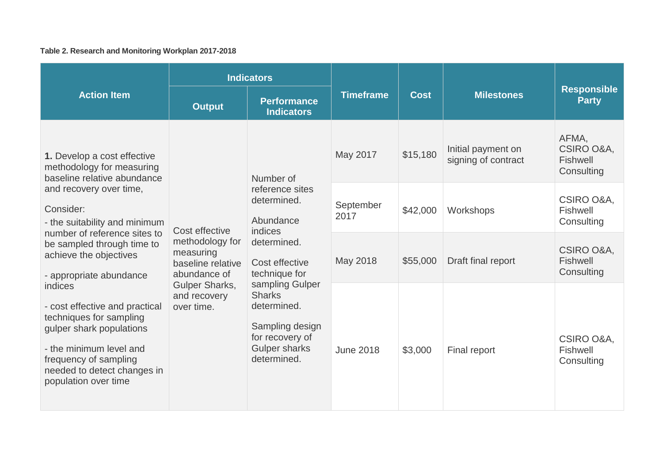#### **Table 2. Research and Monitoring Workplan 2017-2018**

<span id="page-6-0"></span>

|                                                                                                                                                                                                             | <b>Indicators</b>                                                                                 |                                                                                                                                                                                                                                                       |                   |             |                                           |                                                      |
|-------------------------------------------------------------------------------------------------------------------------------------------------------------------------------------------------------------|---------------------------------------------------------------------------------------------------|-------------------------------------------------------------------------------------------------------------------------------------------------------------------------------------------------------------------------------------------------------|-------------------|-------------|-------------------------------------------|------------------------------------------------------|
| <b>Action Item</b>                                                                                                                                                                                          | <b>Output</b>                                                                                     | <b>Performance</b><br><b>Indicators</b>                                                                                                                                                                                                               | <b>Timeframe</b>  | <b>Cost</b> | <b>Milestones</b>                         | <b>Responsible</b><br><b>Party</b>                   |
| 1. Develop a cost effective<br>methodology for measuring<br>baseline relative abundance                                                                                                                     |                                                                                                   | Number of<br>reference sites<br>determined.<br>Abundance<br>indices<br>determined.<br>Cost effective<br>technique for<br>sampling Gulper<br><b>Sharks</b><br>determined.<br>Sampling design<br>for recovery of<br><b>Gulper sharks</b><br>determined. | May 2017          | \$15,180    | Initial payment on<br>signing of contract | AFMA,<br>CSIRO O&A,<br><b>Fishwell</b><br>Consulting |
| and recovery over time,<br>Consider:<br>- the suitability and minimum                                                                                                                                       | Cost effective                                                                                    |                                                                                                                                                                                                                                                       | September<br>2017 | \$42,000    | Workshops                                 | CSIRO O&A,<br>Fishwell<br>Consulting                 |
| be sampled through time to<br>achieve the objectives<br>- appropriate abundance                                                                                                                             | number of reference sites to<br>methodology for<br>measuring<br>baseline relative<br>abundance of |                                                                                                                                                                                                                                                       | May 2018          | \$55,000    | Draft final report                        | CSIRO O&A,<br>Fishwell<br>Consulting                 |
| indices<br>- cost effective and practical<br>techniques for sampling<br>gulper shark populations<br>- the minimum level and<br>frequency of sampling<br>needed to detect changes in<br>population over time | <b>Gulper Sharks,</b><br>and recovery<br>over time.                                               |                                                                                                                                                                                                                                                       | <b>June 2018</b>  | \$3,000     | Final report                              | CSIRO O&A,<br>Fishwell<br>Consulting                 |